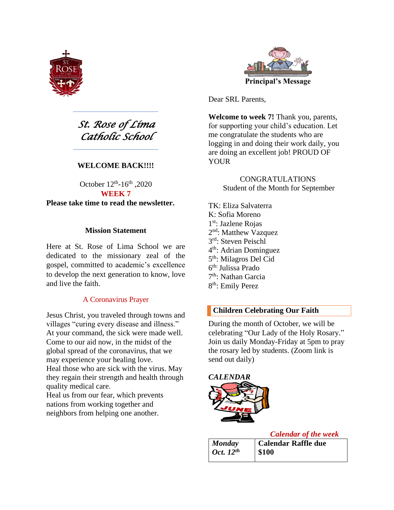

*St. Rose of Lima Catholic School* 

#### **WELCOME BACK!!!!**

October  $12^{th}$ -16<sup>th</sup>, 2020 **WEEK 7 Please take time to read the newsletter.** 

#### **Mission Statement**

Here at St. Rose of Lima School we are dedicated to the missionary zeal of the gospel, committed to academic's excellence to develop the next generation to know, love and live the faith.

#### A Coronavirus Prayer

Jesus Christ, you traveled through towns and villages "curing every disease and illness." At your command, the sick were made well. Come to our aid now, in the midst of the global spread of the coronavirus, that we may experience your healing love. Heal those who are sick with the virus. May they regain their strength and health through quality medical care.

Heal us from our fear, which prevents nations from working together and neighbors from helping one another.



Dear SRL Parents,

**Welcome to week 7!** Thank you, parents, for supporting your child's education. Let me congratulate the students who are logging in and doing their work daily, you are doing an excellent job! PROUD OF YOUR

> CONGRATULATIONS Student of the Month for September

TK: Eliza Salvaterra K: Sofia Moreno 1<sup>st</sup>: Jazlene Rojas 2<sup>nd</sup>: Matthew Vazquez 3 rd: Steven Peischl 4<sup>th</sup>: Adrian Dominguez 5<sup>th</sup>: Milagros Del Cid 6 th: Julissa Prado 7<sup>th</sup>: Nathan Garcia 8<sup>th</sup>: Emily Perez

#### **Children Celebrating Our Faith**

During the month of October, we will be celebrating "Our Lady of the Holy Rosary." Join us daily Monday-Friday at 5pm to pray the rosary led by students. (Zoom link is send out daily)



*Calendar of the week*

| <b>Monday</b>                | Calendar Raffle due |
|------------------------------|---------------------|
| $\int$ Oct. 12 <sup>th</sup> | \$100               |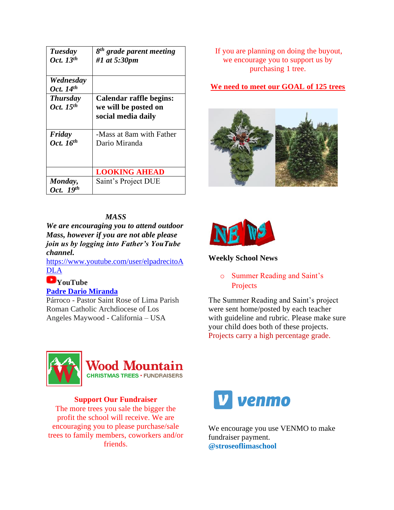| Tuesday<br>Oct. $13^{th}$         | 8 <sup>th</sup> grade parent meeting<br>#1 at 5:30pm                  |
|-----------------------------------|-----------------------------------------------------------------------|
| Wednesday<br>Oct. 14th            |                                                                       |
| <b>Thursday</b><br>Oct. $15^{th}$ | Calendar raffle begins:<br>we will be posted on<br>social media daily |
| Friday<br>Oct. 16th               | -Mass at 8am with Father<br>Dario Miranda                             |
|                                   | <b>LOOKING AHEAD</b>                                                  |
| Monday,<br>Oct. 19th              | Saint's Project DUE                                                   |

### *MASS*

*We are encouraging you to attend outdoor Mass, however if you are not able please join us by logging into Father's YouTube channel.* 

[https://www.youtube.com/user/elpadrecitoA](https://www.youtube.com/user/elpadrecitoADLA) [DLA](https://www.youtube.com/user/elpadrecitoADLA)

# **YouTube**

**[Padre Dario](https://www.youtube.com/user/elpadrecitoADLA) Miranda**

Párroco - Pastor Saint Rose of Lima Parish Roman Catholic Archdiocese of Los Angeles Maywood - California – USA

If you are planning on doing the buyout, we encourage you to support us by purchasing 1 tree.

**We need to meet our GOAL of 125 trees**





## **Weekly School News**

o Summer Reading and Saint's **Projects** 

The Summer Reading and Saint's project were sent home/posted by each teacher with guideline and rubric. Please make sure your child does both of these projects. Projects carry a high percentage grade.



# **Wood Mountain**

**CHRISTMAS TREES · FUNDRAISERS** 

#### **Support Our Fundraiser**

The more trees you sale the bigger the profit the school will receive. We are encouraging you to please purchase/sale trees to family members, coworkers and/or friends.



We encourage you use VENMO to make fundraiser payment. **@stroseoflimaschool**